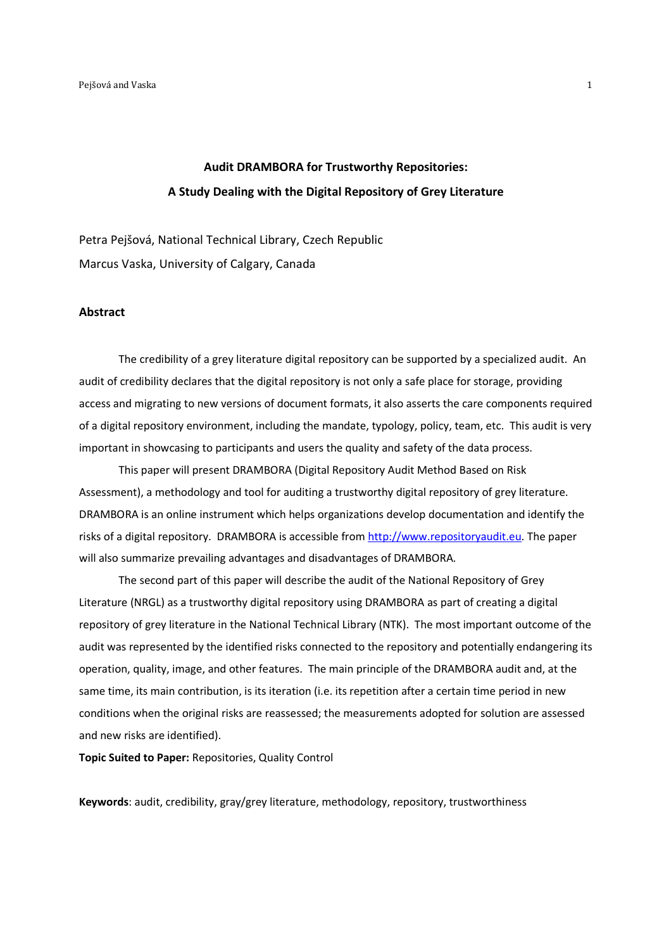# **Audit DRAMBORA for Trustworthy Repositories: A Study Dealing with the Digital Repository of Grey Literature**

Petra Pejšová, National Technical Library, Czech Republic Marcus Vaska, University of Calgary, Canada

### **Abstract**

The credibility of a grey literature digital repository can be supported by a specialized audit. An audit of credibility declares that the digital repository is not only a safe place for storage, providing access and migrating to new versions of document formats, it also asserts the care components required of a digital repository environment, including the mandate, typology, policy, team, etc. This audit is very important in showcasing to participants and users the quality and safety of the data process.

This paper will present DRAMBORA (Digital Repository Audit Method Based on Risk Assessment), a methodology and tool for auditing a trustworthy digital repository of grey literature. DRAMBORA is an online instrument which helps organizations develop documentation and identify the risks of a digital repository. DRAMBORA is accessible from http://www.repositoryaudit.eu. The paper will also summarize prevailing advantages and disadvantages of DRAMBORA.

The second part of this paper will describe the audit of the National Repository of Grey Literature (NRGL) as a trustworthy digital repository using DRAMBORA as part of creating a digital repository of grey literature in the National Technical Library (NTK). The most important outcome of the audit was represented by the identified risks connected to the repository and potentially endangering its operation, quality, image, and other features. The main principle of the DRAMBORA audit and, at the same time, its main contribution, is its iteration (i.e. its repetition after a certain time period in new conditions when the original risks are reassessed; the measurements adopted for solution are assessed and new risks are identified).

**Topic Suited to Paper:** Repositories, Quality Control

**Keywords**: audit, credibility, gray/grey literature, methodology, repository, trustworthiness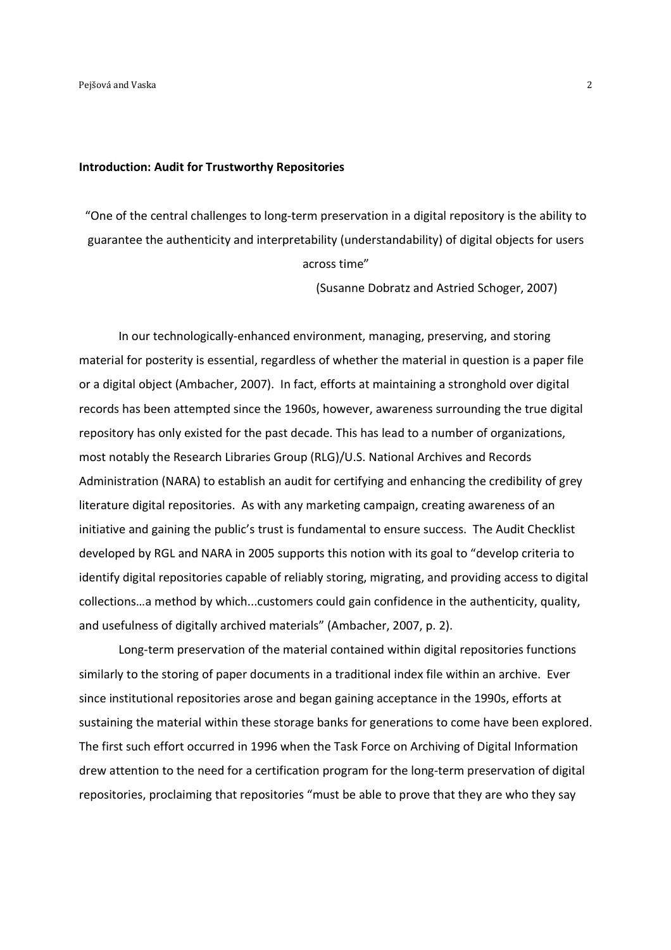#### **Introduction: Audit for Trustworthy Repositories**

"One of the central challenges to long-term preservation in a digital repository is the ability to guarantee the authenticity and interpretability (understandability) of digital objects for users across time"

(Susanne Dobratz and Astried Schoger, 2007)

In our technologically-enhanced environment, managing, preserving, and storing material for posterity is essential, regardless of whether the material in question is a paper file or a digital object (Ambacher, 2007). In fact, efforts at maintaining a stronghold over digital records has been attempted since the 1960s, however, awareness surrounding the true digital repository has only existed for the past decade. This has lead to a number of organizations, most notably the Research Libraries Group (RLG)/U.S. National Archives and Records Administration (NARA) to establish an audit for certifying and enhancing the credibility of grey literature digital repositories. As with any marketing campaign, creating awareness of an initiative and gaining the public's trust is fundamental to ensure success. The Audit Checklist developed by RGL and NARA in 2005 supports this notion with its goal to "develop criteria to identify digital repositories capable of reliably storing, migrating, and providing access to digital collections…a method by which...customers could gain confidence in the authenticity, quality, and usefulness of digitally archived materials" (Ambacher, 2007, p. 2).

Long-term preservation of the material contained within digital repositories functions similarly to the storing of paper documents in a traditional index file within an archive. Ever since institutional repositories arose and began gaining acceptance in the 1990s, efforts at sustaining the material within these storage banks for generations to come have been explored. The first such effort occurred in 1996 when the Task Force on Archiving of Digital Information drew attention to the need for a certification program for the long-term preservation of digital repositories, proclaiming that repositories "must be able to prove that they are who they say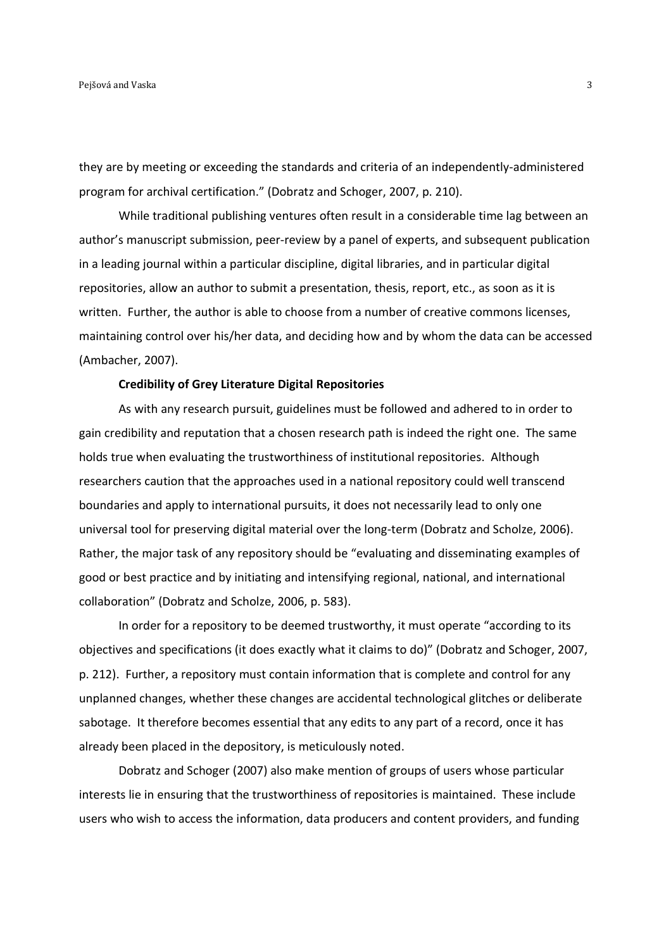they are by meeting or exceeding the standards and criteria of an independently-administered program for archival certification." (Dobratz and Schoger, 2007, p. 210).

While traditional publishing ventures often result in a considerable time lag between an author's manuscript submission, peer-review by a panel of experts, and subsequent publication in a leading journal within a particular discipline, digital libraries, and in particular digital repositories, allow an author to submit a presentation, thesis, report, etc., as soon as it is written. Further, the author is able to choose from a number of creative commons licenses, maintaining control over his/her data, and deciding how and by whom the data can be accessed (Ambacher, 2007).

### **Credibility of Grey Literature Digital Repositories**

As with any research pursuit, guidelines must be followed and adhered to in order to gain credibility and reputation that a chosen research path is indeed the right one. The same holds true when evaluating the trustworthiness of institutional repositories. Although researchers caution that the approaches used in a national repository could well transcend boundaries and apply to international pursuits, it does not necessarily lead to only one universal tool for preserving digital material over the long-term (Dobratz and Scholze, 2006). Rather, the major task of any repository should be "evaluating and disseminating examples of good or best practice and by initiating and intensifying regional, national, and international collaboration" (Dobratz and Scholze, 2006, p. 583).

In order for a repository to be deemed trustworthy, it must operate "according to its objectives and specifications (it does exactly what it claims to do)" (Dobratz and Schoger, 2007, p. 212). Further, a repository must contain information that is complete and control for any unplanned changes, whether these changes are accidental technological glitches or deliberate sabotage. It therefore becomes essential that any edits to any part of a record, once it has already been placed in the depository, is meticulously noted.

Dobratz and Schoger (2007) also make mention of groups of users whose particular interests lie in ensuring that the trustworthiness of repositories is maintained. These include users who wish to access the information, data producers and content providers, and funding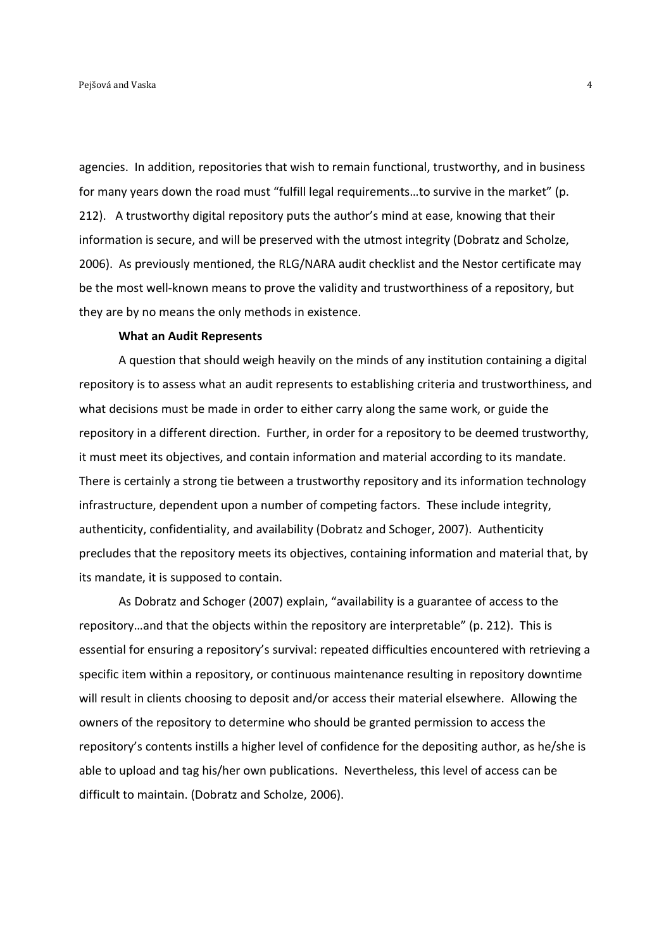agencies. In addition, repositories that wish to remain functional, trustworthy, and in business for many years down the road must "fulfill legal requirements…to survive in the market" (p. 212). A trustworthy digital repository puts the author's mind at ease, knowing that their information is secure, and will be preserved with the utmost integrity (Dobratz and Scholze, 2006). As previously mentioned, the RLG/NARA audit checklist and the Nestor certificate may be the most well-known means to prove the validity and trustworthiness of a repository, but they are by no means the only methods in existence.

#### **What an Audit Represents**

A question that should weigh heavily on the minds of any institution containing a digital repository is to assess what an audit represents to establishing criteria and trustworthiness, and what decisions must be made in order to either carry along the same work, or guide the repository in a different direction. Further, in order for a repository to be deemed trustworthy, it must meet its objectives, and contain information and material according to its mandate. There is certainly a strong tie between a trustworthy repository and its information technology infrastructure, dependent upon a number of competing factors. These include integrity, authenticity, confidentiality, and availability (Dobratz and Schoger, 2007). Authenticity precludes that the repository meets its objectives, containing information and material that, by its mandate, it is supposed to contain.

As Dobratz and Schoger (2007) explain, "availability is a guarantee of access to the repository…and that the objects within the repository are interpretable" (p. 212). This is essential for ensuring a repository's survival: repeated difficulties encountered with retrieving a specific item within a repository, or continuous maintenance resulting in repository downtime will result in clients choosing to deposit and/or access their material elsewhere. Allowing the owners of the repository to determine who should be granted permission to access the repository's contents instills a higher level of confidence for the depositing author, as he/she is able to upload and tag his/her own publications. Nevertheless, this level of access can be difficult to maintain. (Dobratz and Scholze, 2006).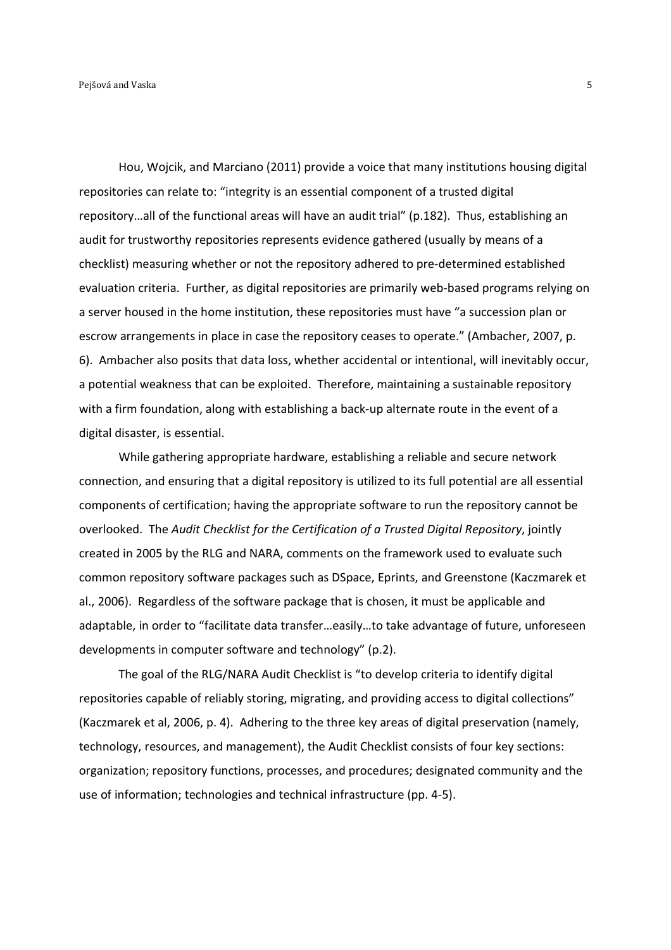Hou, Wojcik, and Marciano (2011) provide a voice that many institutions housing digital repositories can relate to: "integrity is an essential component of a trusted digital repository…all of the functional areas will have an audit trial" (p.182). Thus, establishing an audit for trustworthy repositories represents evidence gathered (usually by means of a checklist) measuring whether or not the repository adhered to pre-determined established evaluation criteria. Further, as digital repositories are primarily web-based programs relying on a server housed in the home institution, these repositories must have "a succession plan or escrow arrangements in place in case the repository ceases to operate." (Ambacher, 2007, p. 6). Ambacher also posits that data loss, whether accidental or intentional, will inevitably occur, a potential weakness that can be exploited. Therefore, maintaining a sustainable repository with a firm foundation, along with establishing a back-up alternate route in the event of a digital disaster, is essential.

While gathering appropriate hardware, establishing a reliable and secure network connection, and ensuring that a digital repository is utilized to its full potential are all essential components of certification; having the appropriate software to run the repository cannot be overlooked. The *Audit Checklist for the Certification of a Trusted Digital Repository*, jointly created in 2005 by the RLG and NARA, comments on the framework used to evaluate such common repository software packages such as DSpace, Eprints, and Greenstone (Kaczmarek et al., 2006). Regardless of the software package that is chosen, it must be applicable and adaptable, in order to "facilitate data transfer…easily…to take advantage of future, unforeseen developments in computer software and technology" (p.2).

The goal of the RLG/NARA Audit Checklist is "to develop criteria to identify digital repositories capable of reliably storing, migrating, and providing access to digital collections" (Kaczmarek et al, 2006, p. 4). Adhering to the three key areas of digital preservation (namely, technology, resources, and management), the Audit Checklist consists of four key sections: organization; repository functions, processes, and procedures; designated community and the use of information; technologies and technical infrastructure (pp. 4-5).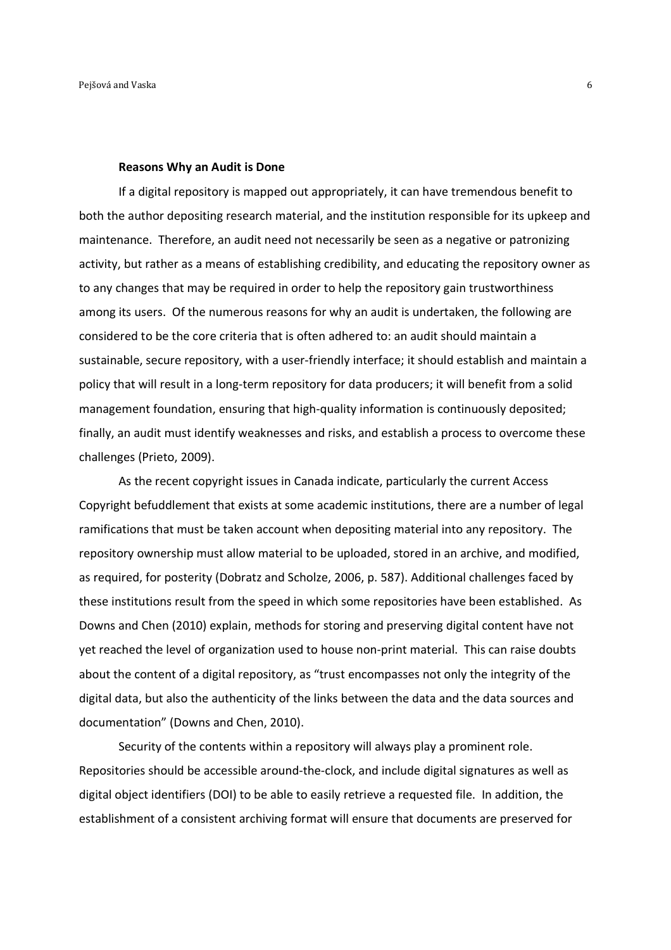#### **Reasons Why an Audit is Done**

If a digital repository is mapped out appropriately, it can have tremendous benefit to both the author depositing research material, and the institution responsible for its upkeep and maintenance. Therefore, an audit need not necessarily be seen as a negative or patronizing activity, but rather as a means of establishing credibility, and educating the repository owner as to any changes that may be required in order to help the repository gain trustworthiness among its users. Of the numerous reasons for why an audit is undertaken, the following are considered to be the core criteria that is often adhered to: an audit should maintain a sustainable, secure repository, with a user-friendly interface; it should establish and maintain a policy that will result in a long-term repository for data producers; it will benefit from a solid management foundation, ensuring that high-quality information is continuously deposited; finally, an audit must identify weaknesses and risks, and establish a process to overcome these challenges (Prieto, 2009).

As the recent copyright issues in Canada indicate, particularly the current Access Copyright befuddlement that exists at some academic institutions, there are a number of legal ramifications that must be taken account when depositing material into any repository. The repository ownership must allow material to be uploaded, stored in an archive, and modified, as required, for posterity (Dobratz and Scholze, 2006, p. 587). Additional challenges faced by these institutions result from the speed in which some repositories have been established. As Downs and Chen (2010) explain, methods for storing and preserving digital content have not yet reached the level of organization used to house non-print material. This can raise doubts about the content of a digital repository, as "trust encompasses not only the integrity of the digital data, but also the authenticity of the links between the data and the data sources and documentation" (Downs and Chen, 2010).

Security of the contents within a repository will always play a prominent role. Repositories should be accessible around-the-clock, and include digital signatures as well as digital object identifiers (DOI) to be able to easily retrieve a requested file. In addition, the establishment of a consistent archiving format will ensure that documents are preserved for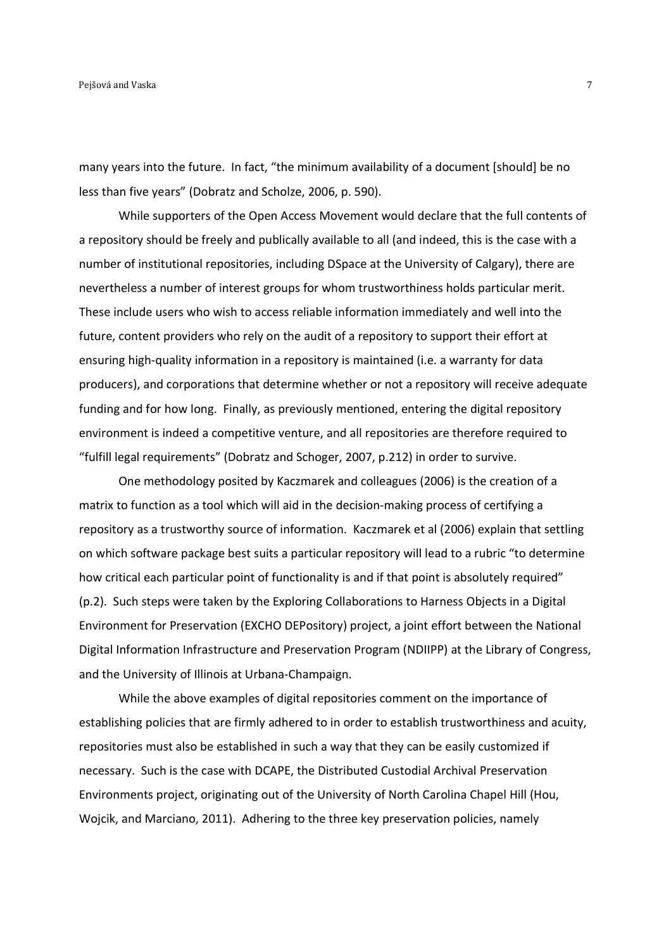many years into the future. In fact, "the minimum availability of a document [should] be no less than five years" (Dobratz and Scholze, 2006, p. 590).

While supporters of the Open Access Movement would declare that the full contents of a repository should be freely and publically available to all (and indeed, this is the case with a number of institutional repositories, including DSpace at the University of Calgary), there are nevertheless a number of interest groups for whom trustworthiness holds particular merit. These include users who wish to access reliable information immediately and well into the future, content providers who rely on the audit of a repository to support their effort at ensuring high-quality information in a repository is maintained (i.e. a warranty for data producers), and corporations that determine whether or not a repository will receive adequate funding and for how long. Finally, as previously mentioned, entering the digital repository environment is indeed a competitive venture, and all repositories are therefore required to "fulfill legal requirements" (Dobratz and Schoger, 2007, p.212) in order to survive.

One methodology posited by Kaczmarek and colleagues (2006) is the creation of a matrix to function as a tool which will aid in the decision-making process of certifying a repository as a trustworthy source of information. Kaczmarek et al (2006) explain that settling on which software package best suits a particular repository will lead to a rubric "to determine how critical each particular point of functionality is and if that point is absolutely required" (p.2). Such steps were taken by the Exploring Collaborations to Harness Objects in a Digital Environment for Preservation (EXCHO DEPository) project, a joint effort between the National Digital Information Infrastructure and Preservation Program (NDIIPP) at the Library of Congress, and the University of Illinois at Urbana-Champaign.

While the above examples of digital repositories comment on the importance of establishing policies that are firmly adhered to in order to establish trustworthiness and acuity, repositories must also be established in such a way that they can be easily customized if necessary. Such is the case with DCAPE, the Distributed Custodial Archival Preservation Environments project, originating out of the University of North Carolina Chapel Hill (Hou, Wojcik, and Marciano, 2011). Adhering to the three key preservation policies, namely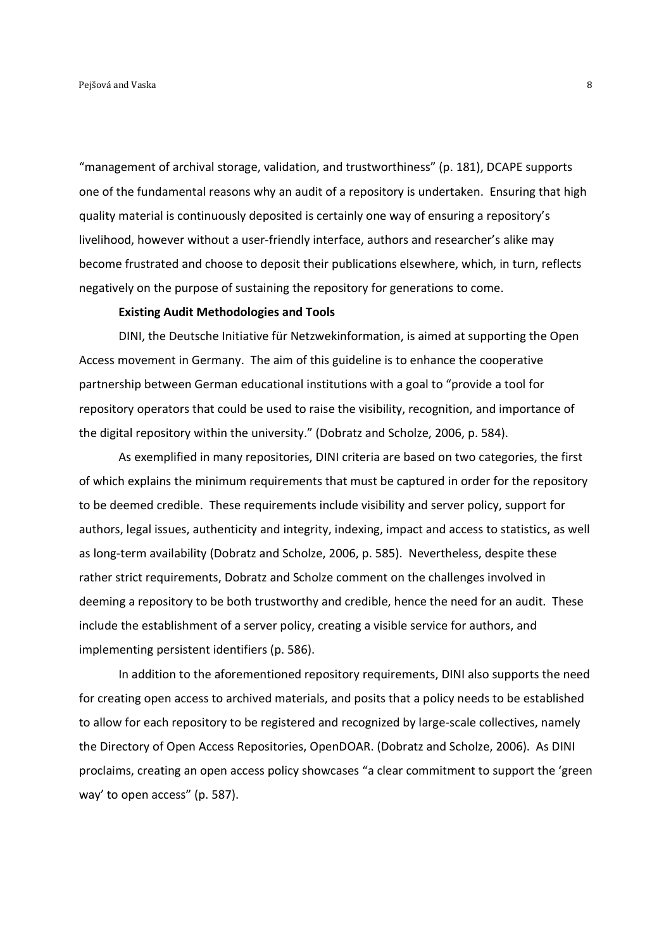"management of archival storage, validation, and trustworthiness" (p. 181), DCAPE supports one of the fundamental reasons why an audit of a repository is undertaken. Ensuring that high quality material is continuously deposited is certainly one way of ensuring a repository's livelihood, however without a user-friendly interface, authors and researcher's alike may become frustrated and choose to deposit their publications elsewhere, which, in turn, reflects negatively on the purpose of sustaining the repository for generations to come.

#### **Existing Audit Methodologies and Tools**

DINI, the Deutsche Initiative für Netzwekinformation, is aimed at supporting the Open Access movement in Germany. The aim of this guideline is to enhance the cooperative partnership between German educational institutions with a goal to "provide a tool for repository operators that could be used to raise the visibility, recognition, and importance of the digital repository within the university." (Dobratz and Scholze, 2006, p. 584).

As exemplified in many repositories, DINI criteria are based on two categories, the first of which explains the minimum requirements that must be captured in order for the repository to be deemed credible. These requirements include visibility and server policy, support for authors, legal issues, authenticity and integrity, indexing, impact and access to statistics, as well as long-term availability (Dobratz and Scholze, 2006, p. 585). Nevertheless, despite these rather strict requirements, Dobratz and Scholze comment on the challenges involved in deeming a repository to be both trustworthy and credible, hence the need for an audit. These include the establishment of a server policy, creating a visible service for authors, and implementing persistent identifiers (p. 586).

In addition to the aforementioned repository requirements, DINI also supports the need for creating open access to archived materials, and posits that a policy needs to be established to allow for each repository to be registered and recognized by large-scale collectives, namely the Directory of Open Access Repositories, OpenDOAR. (Dobratz and Scholze, 2006). As DINI proclaims, creating an open access policy showcases "a clear commitment to support the 'green way' to open access" (p. 587).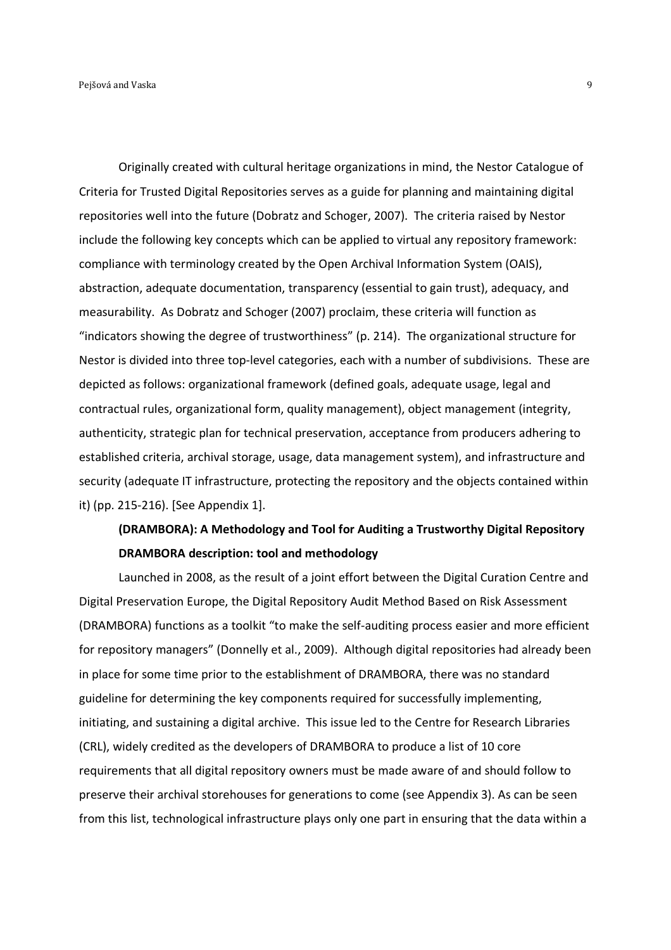Originally created with cultural heritage organizations in mind, the Nestor Catalogue of Criteria for Trusted Digital Repositories serves as a guide for planning and maintaining digital repositories well into the future (Dobratz and Schoger, 2007). The criteria raised by Nestor include the following key concepts which can be applied to virtual any repository framework: compliance with terminology created by the Open Archival Information System (OAIS), abstraction, adequate documentation, transparency (essential to gain trust), adequacy, and measurability. As Dobratz and Schoger (2007) proclaim, these criteria will function as "indicators showing the degree of trustworthiness" (p. 214). The organizational structure for Nestor is divided into three top-level categories, each with a number of subdivisions. These are depicted as follows: organizational framework (defined goals, adequate usage, legal and contractual rules, organizational form, quality management), object management (integrity, authenticity, strategic plan for technical preservation, acceptance from producers adhering to established criteria, archival storage, usage, data management system), and infrastructure and security (adequate IT infrastructure, protecting the repository and the objects contained within it) (pp. 215-216). [See Appendix 1].

# **(DRAMBORA): A Methodology and Tool for Auditing a Trustworthy Digital Repository DRAMBORA description: tool and methodology**

 Launched in 2008, as the result of a joint effort between the Digital Curation Centre and Digital Preservation Europe, the Digital Repository Audit Method Based on Risk Assessment (DRAMBORA) functions as a toolkit "to make the self-auditing process easier and more efficient for repository managers" (Donnelly et al., 2009). Although digital repositories had already been in place for some time prior to the establishment of DRAMBORA, there was no standard guideline for determining the key components required for successfully implementing, initiating, and sustaining a digital archive. This issue led to the Centre for Research Libraries (CRL), widely credited as the developers of DRAMBORA to produce a list of 10 core requirements that all digital repository owners must be made aware of and should follow to preserve their archival storehouses for generations to come (see Appendix 3). As can be seen from this list, technological infrastructure plays only one part in ensuring that the data within a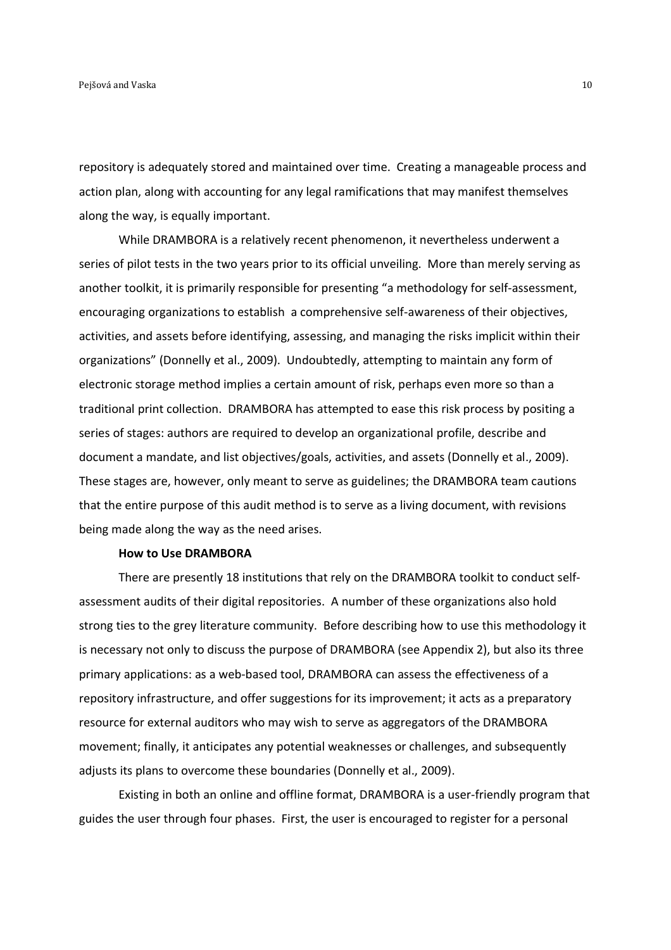repository is adequately stored and maintained over time. Creating a manageable process and action plan, along with accounting for any legal ramifications that may manifest themselves along the way, is equally important.

 While DRAMBORA is a relatively recent phenomenon, it nevertheless underwent a series of pilot tests in the two years prior to its official unveiling. More than merely serving as another toolkit, it is primarily responsible for presenting "a methodology for self-assessment, encouraging organizations to establish a comprehensive self-awareness of their objectives, activities, and assets before identifying, assessing, and managing the risks implicit within their organizations" (Donnelly et al., 2009). Undoubtedly, attempting to maintain any form of electronic storage method implies a certain amount of risk, perhaps even more so than a traditional print collection. DRAMBORA has attempted to ease this risk process by positing a series of stages: authors are required to develop an organizational profile, describe and document a mandate, and list objectives/goals, activities, and assets (Donnelly et al., 2009). These stages are, however, only meant to serve as guidelines; the DRAMBORA team cautions that the entire purpose of this audit method is to serve as a living document, with revisions being made along the way as the need arises.

## **How to Use DRAMBORA**

 There are presently 18 institutions that rely on the DRAMBORA toolkit to conduct selfassessment audits of their digital repositories. A number of these organizations also hold strong ties to the grey literature community. Before describing how to use this methodology it is necessary not only to discuss the purpose of DRAMBORA (see Appendix 2), but also its three primary applications: as a web-based tool, DRAMBORA can assess the effectiveness of a repository infrastructure, and offer suggestions for its improvement; it acts as a preparatory resource for external auditors who may wish to serve as aggregators of the DRAMBORA movement; finally, it anticipates any potential weaknesses or challenges, and subsequently adjusts its plans to overcome these boundaries (Donnelly et al., 2009).

 Existing in both an online and offline format, DRAMBORA is a user-friendly program that guides the user through four phases. First, the user is encouraged to register for a personal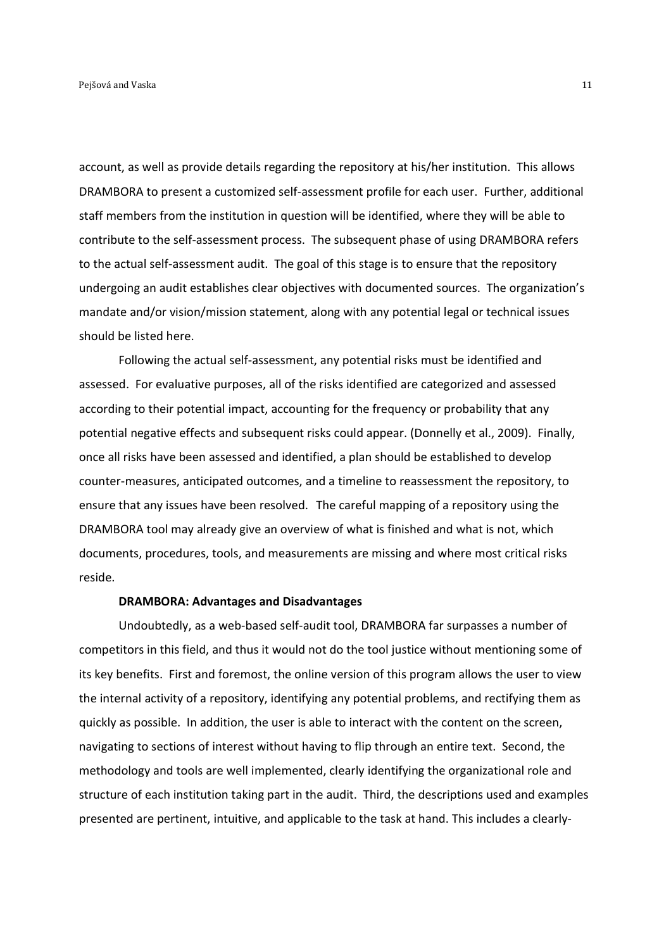account, as well as provide details regarding the repository at his/her institution. This allows DRAMBORA to present a customized self-assessment profile for each user. Further, additional staff members from the institution in question will be identified, where they will be able to contribute to the self-assessment process. The subsequent phase of using DRAMBORA refers to the actual self-assessment audit. The goal of this stage is to ensure that the repository undergoing an audit establishes clear objectives with documented sources. The organization's mandate and/or vision/mission statement, along with any potential legal or technical issues should be listed here.

 Following the actual self-assessment, any potential risks must be identified and assessed. For evaluative purposes, all of the risks identified are categorized and assessed according to their potential impact, accounting for the frequency or probability that any potential negative effects and subsequent risks could appear. (Donnelly et al., 2009). Finally, once all risks have been assessed and identified, a plan should be established to develop counter-measures, anticipated outcomes, and a timeline to reassessment the repository, to ensure that any issues have been resolved. The careful mapping of a repository using the DRAMBORA tool may already give an overview of what is finished and what is not, which documents, procedures, tools, and measurements are missing and where most critical risks reside.

## **DRAMBORA: Advantages and Disadvantages**

 Undoubtedly, as a web-based self-audit tool, DRAMBORA far surpasses a number of competitors in this field, and thus it would not do the tool justice without mentioning some of its key benefits. First and foremost, the online version of this program allows the user to view the internal activity of a repository, identifying any potential problems, and rectifying them as quickly as possible. In addition, the user is able to interact with the content on the screen, navigating to sections of interest without having to flip through an entire text. Second, the methodology and tools are well implemented, clearly identifying the organizational role and structure of each institution taking part in the audit. Third, the descriptions used and examples presented are pertinent, intuitive, and applicable to the task at hand. This includes a clearly-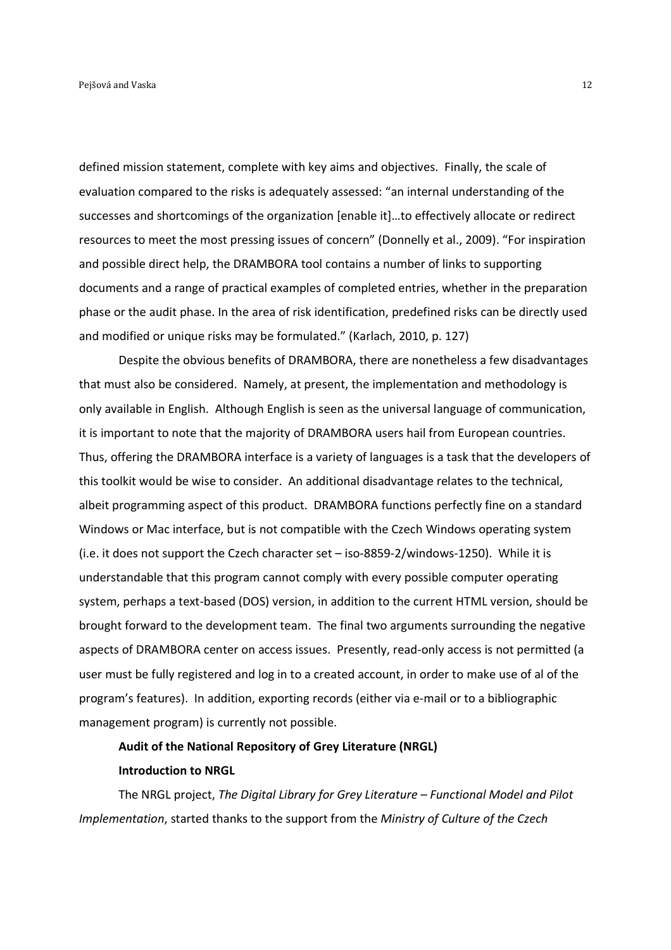defined mission statement, complete with key aims and objectives. Finally, the scale of evaluation compared to the risks is adequately assessed: "an internal understanding of the successes and shortcomings of the organization [enable it]…to effectively allocate or redirect resources to meet the most pressing issues of concern" (Donnelly et al., 2009). "For inspiration and possible direct help, the DRAMBORA tool contains a number of links to supporting documents and a range of practical examples of completed entries, whether in the preparation phase or the audit phase. In the area of risk identification, predefined risks can be directly used and modified or unique risks may be formulated." (Karlach, 2010, p. 127)

 Despite the obvious benefits of DRAMBORA, there are nonetheless a few disadvantages that must also be considered. Namely, at present, the implementation and methodology is only available in English. Although English is seen as the universal language of communication, it is important to note that the majority of DRAMBORA users hail from European countries. Thus, offering the DRAMBORA interface is a variety of languages is a task that the developers of this toolkit would be wise to consider. An additional disadvantage relates to the technical, albeit programming aspect of this product. DRAMBORA functions perfectly fine on a standard Windows or Mac interface, but is not compatible with the Czech Windows operating system (i.e. it does not support the Czech character set – iso-8859-2/windows-1250). While it is understandable that this program cannot comply with every possible computer operating system, perhaps a text-based (DOS) version, in addition to the current HTML version, should be brought forward to the development team. The final two arguments surrounding the negative aspects of DRAMBORA center on access issues. Presently, read-only access is not permitted (a user must be fully registered and log in to a created account, in order to make use of al of the program's features). In addition, exporting records (either via e-mail or to a bibliographic management program) is currently not possible.

# **Audit of the National Repository of Grey Literature (NRGL) Introduction to NRGL**

 The NRGL project, *The Digital Library for Grey Literature – Functional Model and Pilot Implementation*, started thanks to the support from the *Ministry of Culture of the Czech*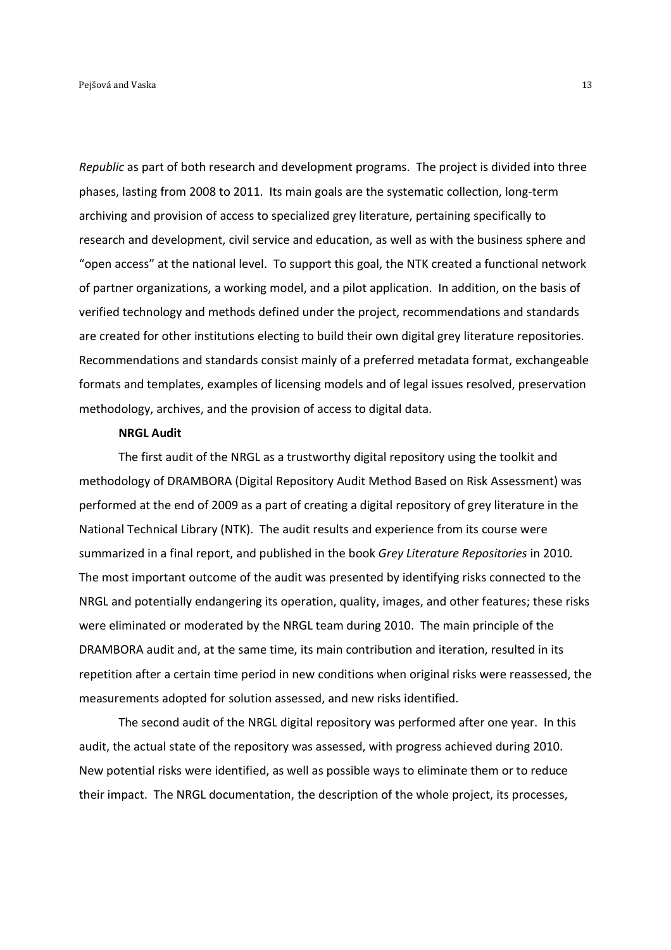*Republic* as part of both research and development programs. The project is divided into three phases, lasting from 2008 to 2011. Its main goals are the systematic collection, long-term archiving and provision of access to specialized grey literature, pertaining specifically to research and development, civil service and education, as well as with the business sphere and "open access" at the national level. To support this goal, the NTK created a functional network of partner organizations, a working model, and a pilot application. In addition, on the basis of verified technology and methods defined under the project, recommendations and standards are created for other institutions electing to build their own digital grey literature repositories. Recommendations and standards consist mainly of a preferred metadata format, exchangeable formats and templates, examples of licensing models and of legal issues resolved, preservation methodology, archives, and the provision of access to digital data.

#### **NRGL Audit**

The first audit of the NRGL as a trustworthy digital repository using the toolkit and methodology of DRAMBORA (Digital Repository Audit Method Based on Risk Assessment) was performed at the end of 2009 as a part of creating a digital repository of grey literature in the National Technical Library (NTK). The audit results and experience from its course were summarized in a final report, and published in the book *Grey Literature Repositories* in 2010*.*  The most important outcome of the audit was presented by identifying risks connected to the NRGL and potentially endangering its operation, quality, images, and other features; these risks were eliminated or moderated by the NRGL team during 2010. The main principle of the DRAMBORA audit and, at the same time, its main contribution and iteration, resulted in its repetition after a certain time period in new conditions when original risks were reassessed, the measurements adopted for solution assessed, and new risks identified.

 The second audit of the NRGL digital repository was performed after one year. In this audit, the actual state of the repository was assessed, with progress achieved during 2010. New potential risks were identified, as well as possible ways to eliminate them or to reduce their impact. The NRGL documentation, the description of the whole project, its processes,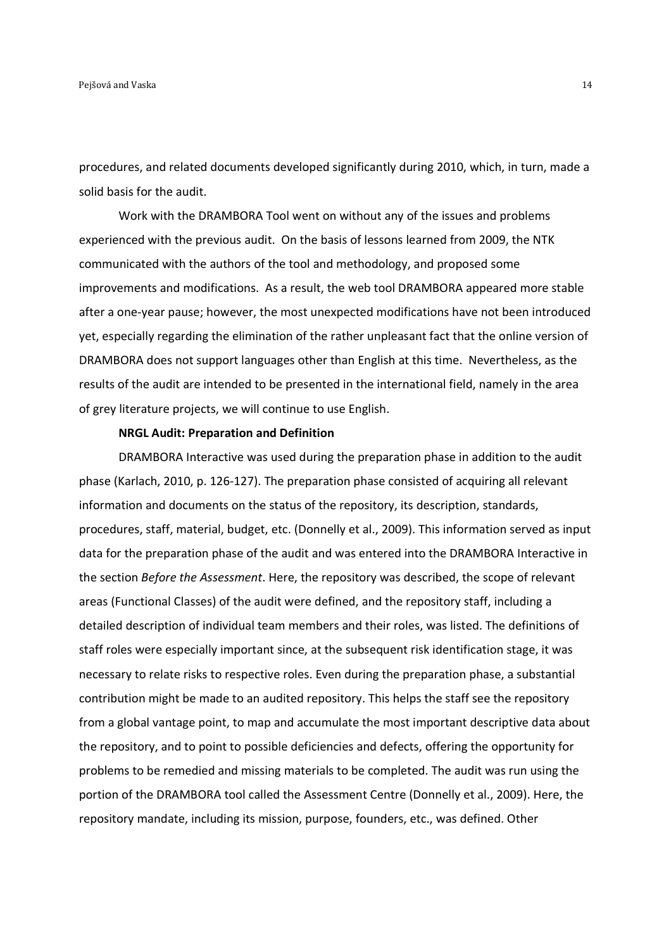procedures, and related documents developed significantly during 2010, which, in turn, made a solid basis for the audit.

Work with the DRAMBORA Tool went on without any of the issues and problems experienced with the previous audit. On the basis of lessons learned from 2009, the NTK communicated with the authors of the tool and methodology, and proposed some improvements and modifications. As a result, the web tool DRAMBORA appeared more stable after a one-year pause; however, the most unexpected modifications have not been introduced yet, especially regarding the elimination of the rather unpleasant fact that the online version of DRAMBORA does not support languages other than English at this time. Nevertheless, as the results of the audit are intended to be presented in the international field, namely in the area of grey literature projects, we will continue to use English.

#### **NRGL Audit: Preparation and Definition**

DRAMBORA Interactive was used during the preparation phase in addition to the audit phase (Karlach, 2010, p. 126-127). The preparation phase consisted of acquiring all relevant information and documents on the status of the repository, its description, standards, procedures, staff, material, budget, etc. (Donnelly et al., 2009). This information served as input data for the preparation phase of the audit and was entered into the DRAMBORA Interactive in the section *Before the Assessment*. Here, the repository was described, the scope of relevant areas (Functional Classes) of the audit were defined, and the repository staff, including a detailed description of individual team members and their roles, was listed. The definitions of staff roles were especially important since, at the subsequent risk identification stage, it was necessary to relate risks to respective roles. Even during the preparation phase, a substantial contribution might be made to an audited repository. This helps the staff see the repository from a global vantage point, to map and accumulate the most important descriptive data about the repository, and to point to possible deficiencies and defects, offering the opportunity for problems to be remedied and missing materials to be completed. The audit was run using the portion of the DRAMBORA tool called the Assessment Centre (Donnelly et al., 2009). Here, the repository mandate, including its mission, purpose, founders, etc., was defined. Other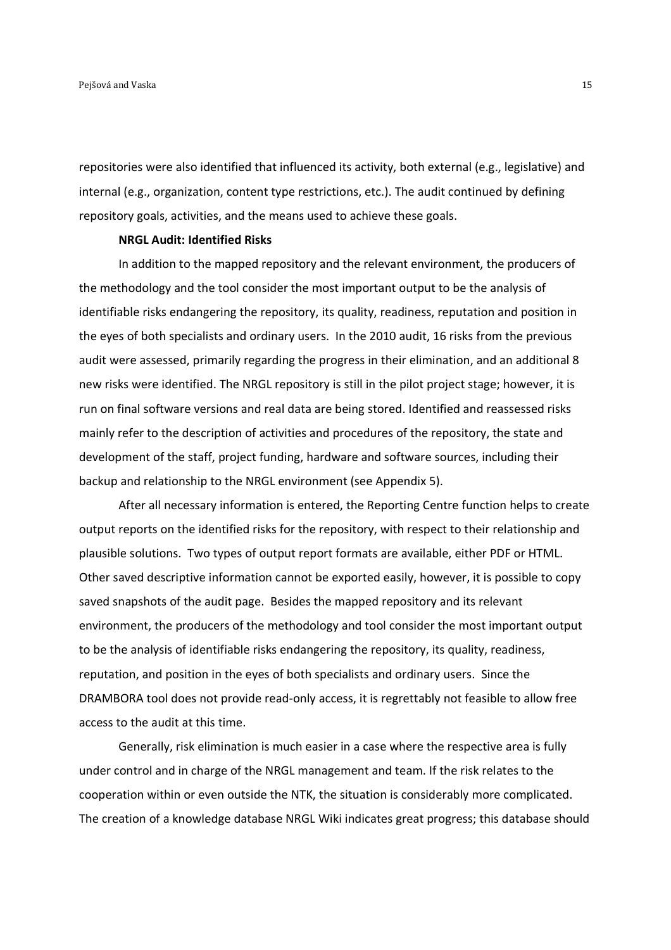repositories were also identified that influenced its activity, both external (e.g., legislative) and internal (e.g., organization, content type restrictions, etc.). The audit continued by defining repository goals, activities, and the means used to achieve these goals.

#### **NRGL Audit: Identified Risks**

In addition to the mapped repository and the relevant environment, the producers of the methodology and the tool consider the most important output to be the analysis of identifiable risks endangering the repository, its quality, readiness, reputation and position in the eyes of both specialists and ordinary users. In the 2010 audit, 16 risks from the previous audit were assessed, primarily regarding the progress in their elimination, and an additional 8 new risks were identified. The NRGL repository is still in the pilot project stage; however, it is run on final software versions and real data are being stored. Identified and reassessed risks mainly refer to the description of activities and procedures of the repository, the state and development of the staff, project funding, hardware and software sources, including their backup and relationship to the NRGL environment (see Appendix 5).

After all necessary information is entered, the Reporting Centre function helps to create output reports on the identified risks for the repository, with respect to their relationship and plausible solutions. Two types of output report formats are available, either PDF or HTML. Other saved descriptive information cannot be exported easily, however, it is possible to copy saved snapshots of the audit page. Besides the mapped repository and its relevant environment, the producers of the methodology and tool consider the most important output to be the analysis of identifiable risks endangering the repository, its quality, readiness, reputation, and position in the eyes of both specialists and ordinary users. Since the DRAMBORA tool does not provide read-only access, it is regrettably not feasible to allow free access to the audit at this time.

Generally, risk elimination is much easier in a case where the respective area is fully under control and in charge of the NRGL management and team. If the risk relates to the cooperation within or even outside the NTK, the situation is considerably more complicated. The creation of a knowledge database NRGL Wiki indicates great progress; this database should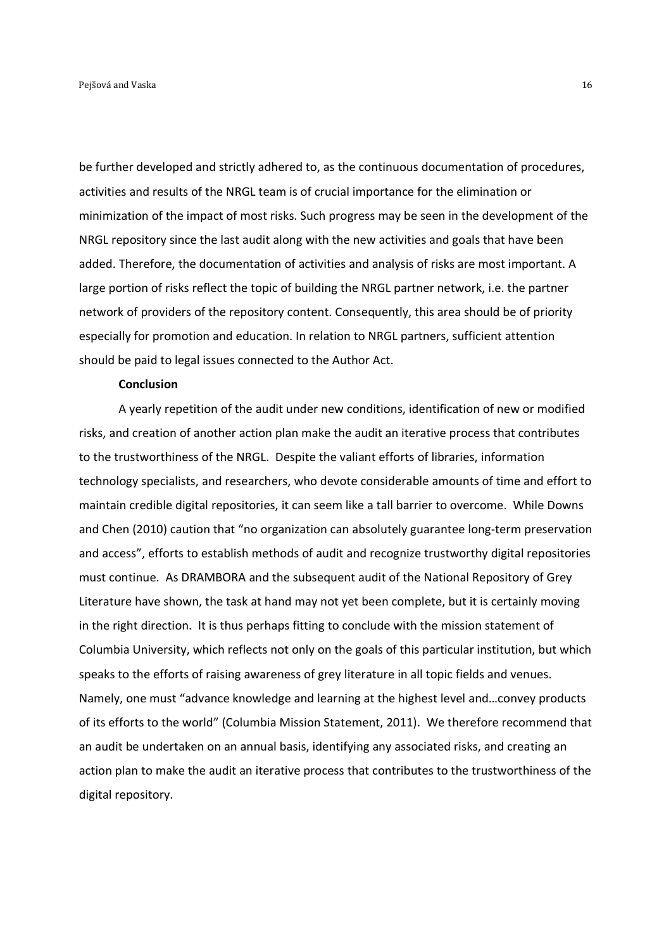be further developed and strictly adhered to, as the continuous documentation of procedures, activities and results of the NRGL team is of crucial importance for the elimination or minimization of the impact of most risks. Such progress may be seen in the development of the NRGL repository since the last audit along with the new activities and goals that have been added. Therefore, the documentation of activities and analysis of risks are most important. A large portion of risks reflect the topic of building the NRGL partner network, i.e. the partner network of providers of the repository content. Consequently, this area should be of priority especially for promotion and education. In relation to NRGL partners, sufficient attention should be paid to legal issues connected to the Author Act.

#### **Conclusion**

A yearly repetition of the audit under new conditions, identification of new or modified risks, and creation of another action plan make the audit an iterative process that contributes to the trustworthiness of the NRGL. Despite the valiant efforts of libraries, information technology specialists, and researchers, who devote considerable amounts of time and effort to maintain credible digital repositories, it can seem like a tall barrier to overcome. While Downs and Chen (2010) caution that "no organization can absolutely guarantee long-term preservation and access", efforts to establish methods of audit and recognize trustworthy digital repositories must continue. As DRAMBORA and the subsequent audit of the National Repository of Grey Literature have shown, the task at hand may not yet been complete, but it is certainly moving in the right direction. It is thus perhaps fitting to conclude with the mission statement of Columbia University, which reflects not only on the goals of this particular institution, but which speaks to the efforts of raising awareness of grey literature in all topic fields and venues. Namely, one must "advance knowledge and learning at the highest level and…convey products of its efforts to the world" (Columbia Mission Statement, 2011). We therefore recommend that an audit be undertaken on an annual basis, identifying any associated risks, and creating an action plan to make the audit an iterative process that contributes to the trustworthiness of the digital repository.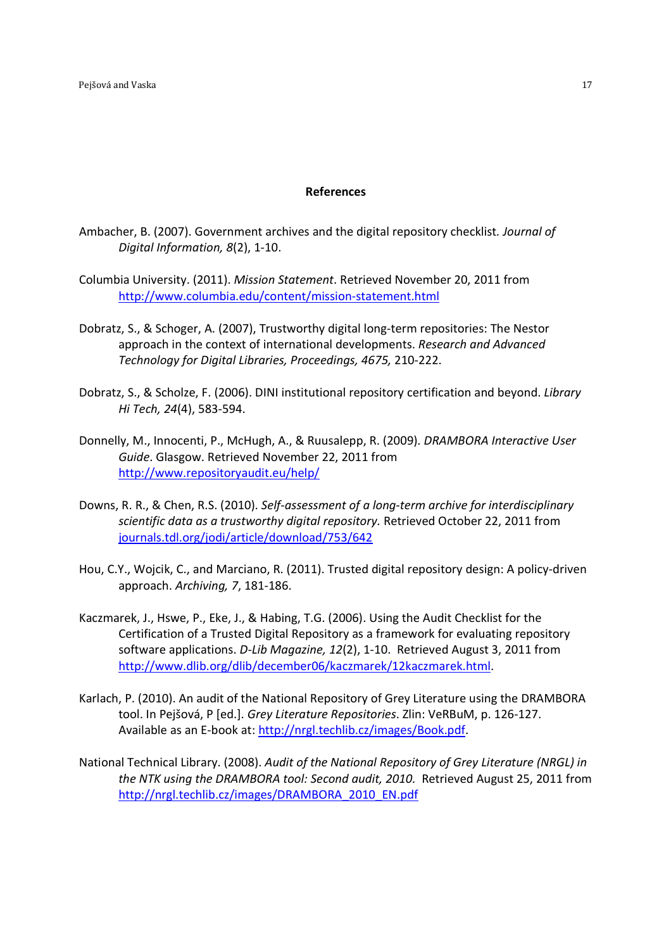## **References**

- Ambacher, B. (2007). Government archives and the digital repository checklist*. Journal of Digital Information, 8*(2), 1-10.
- Columbia University. (2011). *Mission Statement*. Retrieved November 20, 2011 from http://www.columbia.edu/content/mission-statement.html
- Dobratz, S., & Schoger, A. (2007), Trustworthy digital long-term repositories: The Nestor approach in the context of international developments. *Research and Advanced Technology for Digital Libraries, Proceedings, 4675,* 210-222.
- Dobratz, S., & Scholze, F. (2006). DINI institutional repository certification and beyond. *Library Hi Tech, 24*(4), 583-594.
- Donnelly, M., Innocenti, P., McHugh, A., & Ruusalepp, R. (2009). *DRAMBORA Interactive User Guide*. Glasgow. Retrieved November 22, 2011 from http://www.repositoryaudit.eu/help/
- Downs, R. R., & Chen, R.S. (2010). *Self-assessment of a long-term archive for interdisciplinary scientific data as a trustworthy digital repository.* Retrieved October 22, 2011 from journals.tdl.org/jodi/article/download/753/642
- Hou, C.Y., Wojcik, C., and Marciano, R. (2011). Trusted digital repository design: A policy-driven approach. *Archiving, 7*, 181-186.
- Kaczmarek, J., Hswe, P., Eke, J., & Habing, T.G. (2006). Using the Audit Checklist for the Certification of a Trusted Digital Repository as a framework for evaluating repository software applications. *D-Lib Magazine, 12*(2), 1-10. Retrieved August 3, 2011 from http://www.dlib.org/dlib/december06/kaczmarek/12kaczmarek.html.
- Karlach, P. (2010). An audit of the National Repository of Grey Literature using the DRAMBORA tool. In Pejšová, P [ed.]. *Grey Literature Repositories*. Zlin: VeRBuM, p. 126-127. Available as an E-book at: http://nrgl.techlib.cz/images/Book.pdf.
- National Technical Library. (2008). *Audit of the National Repository of Grey Literature (NRGL) in the NTK using the DRAMBORA tool: Second audit, 2010.* Retrieved August 25, 2011 from http://nrgl.techlib.cz/images/DRAMBORA\_2010\_EN.pdf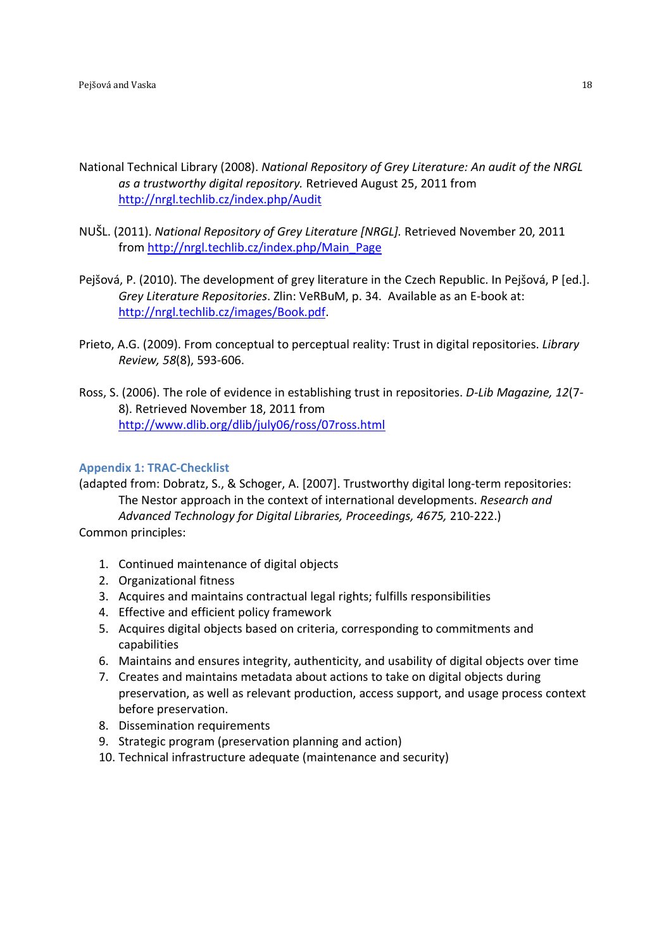- National Technical Library (2008). *National Repository of Grey Literature: An audit of the NRGL as a trustworthy digital repository.* Retrieved August 25, 2011 from http://nrgl.techlib.cz/index.php/Audit
- NUŠL. (2011). *National Repository of Grey Literature [NRGL].* Retrieved November 20, 2011 from http://nrgl.techlib.cz/index.php/Main\_Page
- Pejšová, P. (2010). The development of grey literature in the Czech Republic. In Pejšová, P [ed.]. *Grey Literature Repositories*. Zlin: VeRBuM, p. 34. Available as an E-book at: http://nrgl.techlib.cz/images/Book.pdf.
- Prieto, A.G. (2009). From conceptual to perceptual reality: Trust in digital repositories. *Library Review, 58*(8), 593-606.
- Ross, S. (2006). The role of evidence in establishing trust in repositories. *D-Lib Magazine, 12*(7- 8). Retrieved November 18, 2011 from http://www.dlib.org/dlib/july06/ross/07ross.html

## **Appendix 1: TRAC-Checklist**

(adapted from: Dobratz, S., & Schoger, A. [2007]. Trustworthy digital long-term repositories: The Nestor approach in the context of international developments. *Research and Advanced Technology for Digital Libraries, Proceedings, 4675,* 210-222.) Common principles:

- 1. Continued maintenance of digital objects
- 2. Organizational fitness
- 3. Acquires and maintains contractual legal rights; fulfills responsibilities
- 4. Effective and efficient policy framework
- 5. Acquires digital objects based on criteria, corresponding to commitments and capabilities
- 6. Maintains and ensures integrity, authenticity, and usability of digital objects over time
- 7. Creates and maintains metadata about actions to take on digital objects during preservation, as well as relevant production, access support, and usage process context before preservation.
- 8. Dissemination requirements
- 9. Strategic program (preservation planning and action)
- 10. Technical infrastructure adequate (maintenance and security)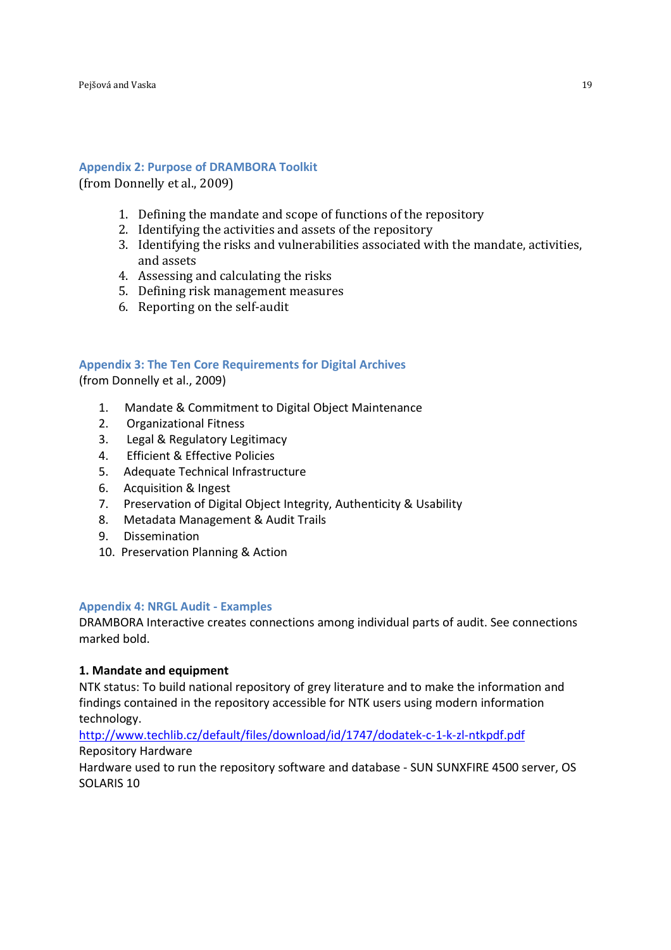## **Appendix 2: Purpose of DRAMBORA Toolkit**

(from Donnelly et al., 2009)

- 1. Defining the mandate and scope of functions of the repository
- 2. Identifying the activities and assets of the repository
- 3. Identifying the risks and vulnerabilities associated with the mandate, activities, and assets
- 4. Assessing and calculating the risks
- 5. Defining risk management measures
- 6. Reporting on the self-audit

## **Appendix 3: The Ten Core Requirements for Digital Archives**

(from Donnelly et al., 2009)

- 1. Mandate & Commitment to Digital Object Maintenance
- 2. Organizational Fitness
- 3. Legal & Regulatory Legitimacy
- 4. Efficient & Effective Policies
- 5. Adequate Technical Infrastructure
- 6. Acquisition & Ingest
- 7. Preservation of Digital Object Integrity, Authenticity & Usability
- 8. Metadata Management & Audit Trails
- 9. Dissemination
- 10. Preservation Planning & Action

## **Appendix 4: NRGL Audit - Examples**

DRAMBORA Interactive creates connections among individual parts of audit. See connections marked bold.

## **1. Mandate and equipment**

NTK status: To build national repository of grey literature and to make the information and findings contained in the repository accessible for NTK users using modern information technology.

http://www.techlib.cz/default/files/download/id/1747/dodatek-c-1-k-zl-ntkpdf.pdf Repository Hardware

Hardware used to run the repository software and database - SUN SUNXFIRE 4500 server, OS SOLARIS 10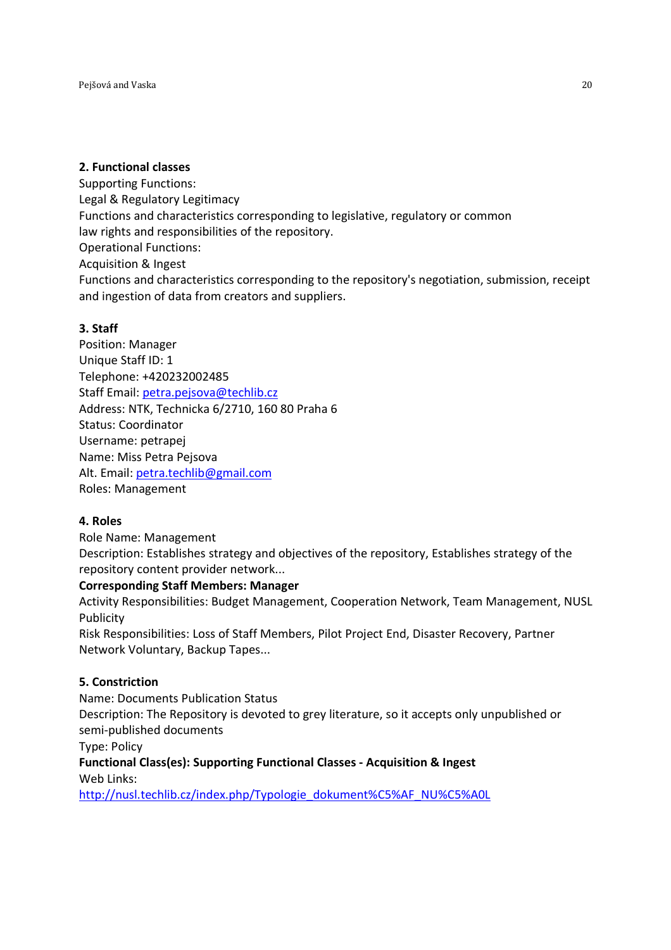# **2. Functional classes**

Supporting Functions: Legal & Regulatory Legitimacy Functions and characteristics corresponding to legislative, regulatory or common law rights and responsibilities of the repository. Operational Functions: Acquisition & Ingest Functions and characteristics corresponding to the repository's negotiation, submission, receipt and ingestion of data from creators and suppliers.

# **3. Staff**

Position: Manager Unique Staff ID: 1 Telephone: +420232002485 Staff Email: petra.pejsova@techlib.cz Address: NTK, Technicka 6/2710, 160 80 Praha 6 Status: Coordinator Username: petrapej Name: Miss Petra Pejsova Alt. Email: petra.techlib@gmail.com Roles: Management

# **4. Roles**

Role Name: Management Description: Establishes strategy and objectives of the repository, Establishes strategy of the repository content provider network...

# **Corresponding Staff Members: Manager**

Activity Responsibilities: Budget Management, Cooperation Network, Team Management, NUSL Publicity

Risk Responsibilities: Loss of Staff Members, Pilot Project End, Disaster Recovery, Partner Network Voluntary, Backup Tapes...

# **5. Constriction**

Name: Documents Publication Status

Description: The Repository is devoted to grey literature, so it accepts only unpublished or semi-published documents

Type: Policy

**Functional Class(es): Supporting Functional Classes - Acquisition & Ingest**  Web Links:

http://nusl.techlib.cz/index.php/Typologie\_dokument%C5%AF\_NU%C5%A0L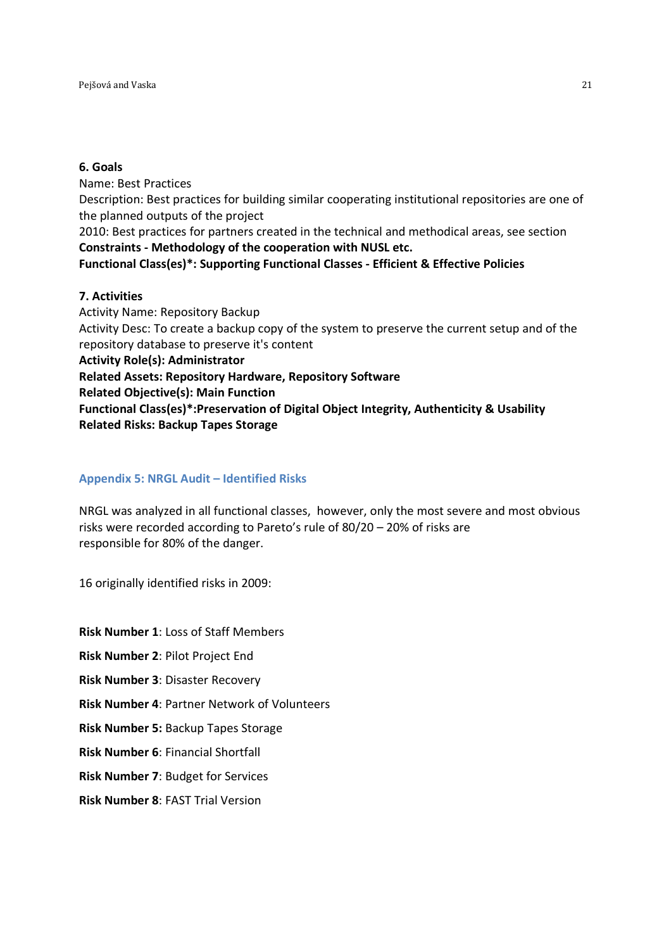# **6. Goals**

Name: Best Practices Description: Best practices for building similar cooperating institutional repositories are one of the planned outputs of the project 2010: Best practices for partners created in the technical and methodical areas, see section **Constraints - Methodology of the cooperation with NUSL etc. Functional Class(es)\*: Supporting Functional Classes - Efficient & Effective Policies** 

## **7. Activities**

Activity Name: Repository Backup Activity Desc: To create a backup copy of the system to preserve the current setup and of the repository database to preserve it's content **Activity Role(s): Administrator Related Assets: Repository Hardware, Repository Software Related Objective(s): Main Function Functional Class(es)\*:Preservation of Digital Object Integrity, Authenticity & Usability Related Risks: Backup Tapes Storage** 

# **Appendix 5: NRGL Audit – Identified Risks**

NRGL was analyzed in all functional classes, however, only the most severe and most obvious risks were recorded according to Pareto's rule of 80/20 – 20% of risks are responsible for 80% of the danger.

16 originally identified risks in 2009:

**Risk Number 1**: Loss of Staff Members

**Risk Number 2**: Pilot Project End

**Risk Number 3**: Disaster Recovery

**Risk Number 4**: Partner Network of Volunteers

**Risk Number 5:** Backup Tapes Storage

**Risk Number 6**: Financial Shortfall

**Risk Number 7**: Budget for Services

**Risk Number 8**: FAST Trial Version